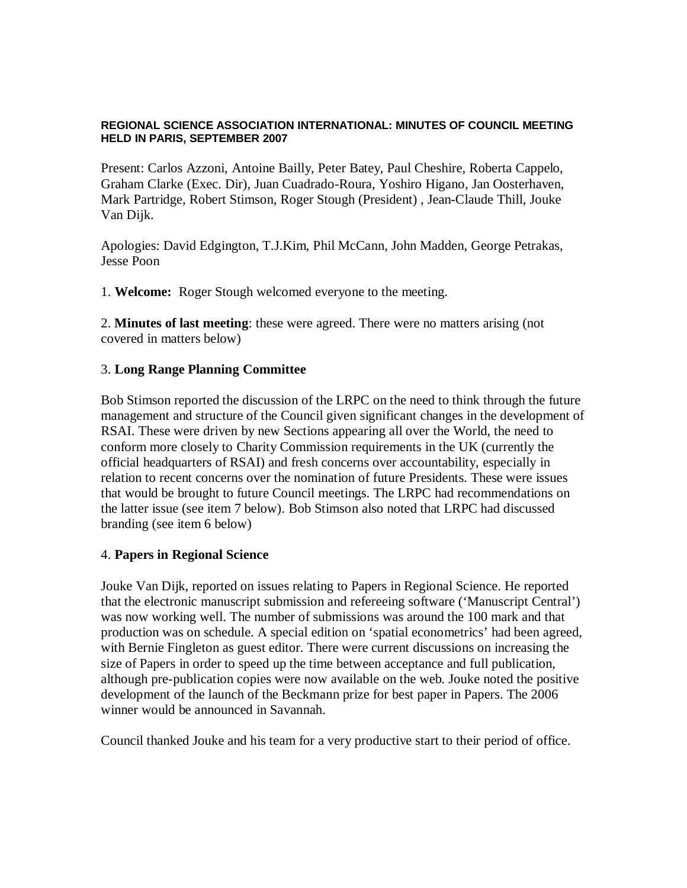#### **REGIONAL SCIENCE ASSOCIATION INTERNATIONAL: MINUTES OF COUNCIL MEETING HELD IN PARIS, SEPTEMBER 2007**

Present: Carlos Azzoni, Antoine Bailly, Peter Batey, Paul Cheshire, Roberta Cappelo, Graham Clarke (Exec. Dir), Juan Cuadrado-Roura, Yoshiro Higano, Jan Oosterhaven, Mark Partridge, Robert Stimson, Roger Stough (President) , Jean-Claude Thill, Jouke Van Dijk.

Apologies: David Edgington, T.J.Kim, Phil McCann, John Madden, George Petrakas, Jesse Poon

1. **Welcome:** Roger Stough welcomed everyone to the meeting.

2. **Minutes of last meeting**: these were agreed. There were no matters arising (not covered in matters below)

## 3. **Long Range Planning Committee**

Bob Stimson reported the discussion of the LRPC on the need to think through the future management and structure of the Council given significant changes in the development of RSAI. These were driven by new Sections appearing all over the World, the need to conform more closely to Charity Commission requirements in the UK (currently the official headquarters of RSAI) and fresh concerns over accountability, especially in relation to recent concerns over the nomination of future Presidents. These were issues that would be brought to future Council meetings. The LRPC had recommendations on the latter issue (see item 7 below). Bob Stimson also noted that LRPC had discussed branding (see item 6 below)

#### 4. **Papers in Regional Science**

Jouke Van Dijk, reported on issues relating to Papers in Regional Science. He reported that the electronic manuscript submission and refereeing software ('Manuscript Central') was now working well. The number of submissions was around the 100 mark and that production was on schedule. A special edition on 'spatial econometrics' had been agreed, with Bernie Fingleton as guest editor. There were current discussions on increasing the size of Papers in order to speed up the time between acceptance and full publication, although pre-publication copies were now available on the web. Jouke noted the positive development of the launch of the Beckmann prize for best paper in Papers. The 2006 winner would be announced in Savannah.

Council thanked Jouke and his team for a very productive start to their period of office.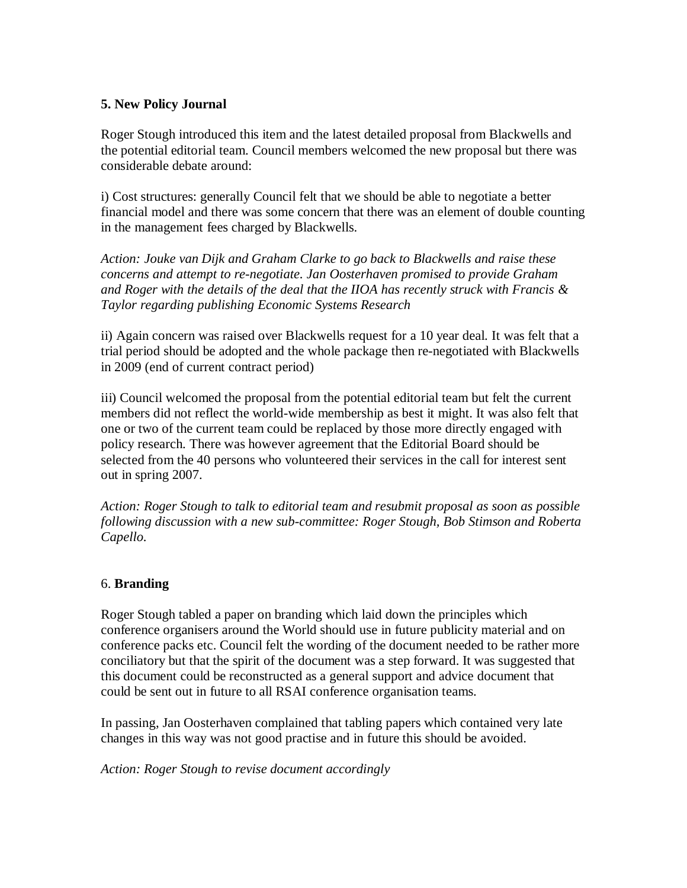## **5. New Policy Journal**

Roger Stough introduced this item and the latest detailed proposal from Blackwells and the potential editorial team. Council members welcomed the new proposal but there was considerable debate around:

i) Cost structures: generally Council felt that we should be able to negotiate a better financial model and there was some concern that there was an element of double counting in the management fees charged by Blackwells.

*Action: Jouke van Dijk and Graham Clarke to go back to Blackwells and raise these concerns and attempt to re-negotiate. Jan Oosterhaven promised to provide Graham and Roger with the details of the deal that the IIOA has recently struck with Francis & Taylor regarding publishing Economic Systems Research*

ii) Again concern was raised over Blackwells request for a 10 year deal. It was felt that a trial period should be adopted and the whole package then re-negotiated with Blackwells in 2009 (end of current contract period)

iii) Council welcomed the proposal from the potential editorial team but felt the current members did not reflect the world-wide membership as best it might. It was also felt that one or two of the current team could be replaced by those more directly engaged with policy research. There was however agreement that the Editorial Board should be selected from the 40 persons who volunteered their services in the call for interest sent out in spring 2007.

*Action: Roger Stough to talk to editorial team and resubmit proposal as soon as possible following discussion with a new sub-committee: Roger Stough, Bob Stimson and Roberta Capello.*

# 6. **Branding**

Roger Stough tabled a paper on branding which laid down the principles which conference organisers around the World should use in future publicity material and on conference packs etc. Council felt the wording of the document needed to be rather more conciliatory but that the spirit of the document was a step forward. It was suggested that this document could be reconstructed as a general support and advice document that could be sent out in future to all RSAI conference organisation teams.

In passing, Jan Oosterhaven complained that tabling papers which contained very late changes in this way was not good practise and in future this should be avoided.

*Action: Roger Stough to revise document accordingly*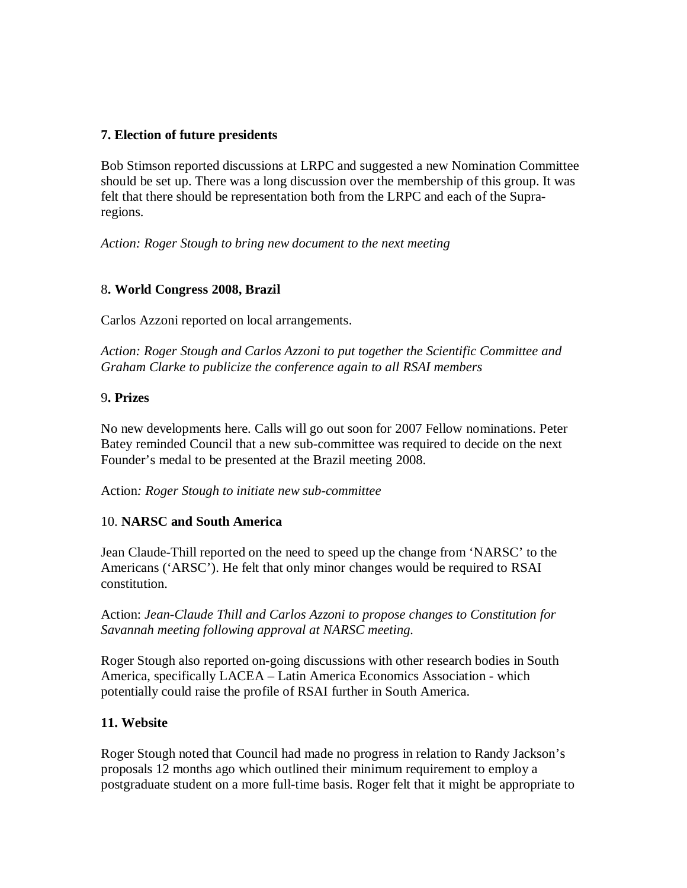# **7. Election of future presidents**

Bob Stimson reported discussions at LRPC and suggested a new Nomination Committee should be set up. There was a long discussion over the membership of this group. It was felt that there should be representation both from the LRPC and each of the Supraregions.

*Action: Roger Stough to bring new document to the next meeting*

## 8**. World Congress 2008, Brazil**

Carlos Azzoni reported on local arrangements.

*Action: Roger Stough and Carlos Azzoni to put together the Scientific Committee and Graham Clarke to publicize the conference again to all RSAI members*

## 9**. Prizes**

No new developments here. Calls will go out soon for 2007 Fellow nominations. Peter Batey reminded Council that a new sub-committee was required to decide on the next Founder's medal to be presented at the Brazil meeting 2008.

Action*: Roger Stough to initiate new sub-committee*

#### 10. **NARSC and South America**

Jean Claude-Thill reported on the need to speed up the change from 'NARSC' to the Americans ('ARSC'). He felt that only minor changes would be required to RSAI constitution.

Action: *Jean-Claude Thill and Carlos Azzoni to propose changes to Constitution for Savannah meeting following approval at NARSC meeting.*

Roger Stough also reported on-going discussions with other research bodies in South America, specifically LACEA – Latin America Economics Association - which potentially could raise the profile of RSAI further in South America.

# **11. Website**

Roger Stough noted that Council had made no progress in relation to Randy Jackson's proposals 12 months ago which outlined their minimum requirement to employ a postgraduate student on a more full-time basis. Roger felt that it might be appropriate to